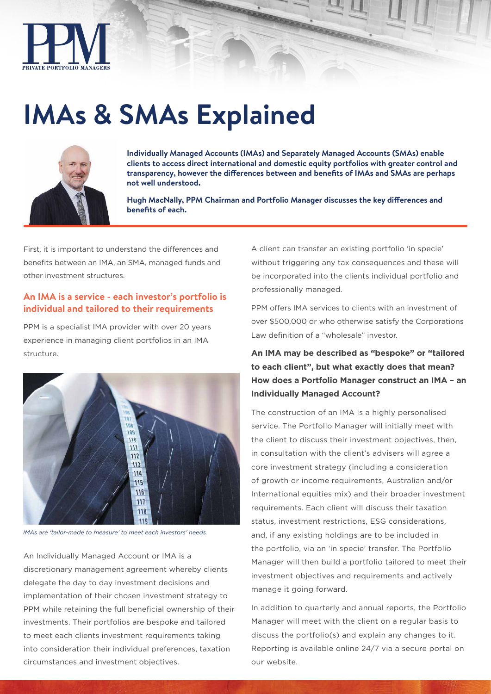

# **IMAs & SMAs Explained**



**Individually Managed Accounts (IMAs) and Separately Managed Accounts (SMAs) enable clients to access direct international and domestic equity portfolios with greater control and transparency, however the differences between and benefits of IMAs and SMAs are perhaps not well understood.** 

**Hugh MacNally, PPM Chairman and Portfolio Manager discusses the key differences and benefits of each.**

First, it is important to understand the differences and benefits between an IMA, an SMA, managed funds and other investment structures.

# **An IMA is a service - each investor's portfolio is individual and tailored to their requirements**

PPM is a specialist IMA provider with over 20 years experience in managing client portfolios in an IMA structure.



*IMAs are 'tailor-made to measure' to meet each investors' needs.*

An Individually Managed Account or IMA is a discretionary management agreement whereby clients delegate the day to day investment decisions and implementation of their chosen investment strategy to PPM while retaining the full beneficial ownership of their investments. Their portfolios are bespoke and tailored to meet each clients investment requirements taking into consideration their individual preferences, taxation circumstances and investment objectives.

A client can transfer an existing portfolio 'in specie' without triggering any tax consequences and these will be incorporated into the clients individual portfolio and professionally managed.

PPM offers IMA services to clients with an investment of over \$500,000 or who otherwise satisfy the Corporations Law definition of a "wholesale" investor.

# **An IMA may be described as "bespoke" or "tailored to each client", but what exactly does that mean? How does a Portfolio Manager construct an IMA – an Individually Managed Account?**

The construction of an IMA is a highly personalised service. The Portfolio Manager will initially meet with the client to discuss their investment objectives, then, in consultation with the client's advisers will agree a core investment strategy (including a consideration of growth or income requirements, Australian and/or International equities mix) and their broader investment requirements. Each client will discuss their taxation status, investment restrictions, ESG considerations, and, if any existing holdings are to be included in the portfolio, via an 'in specie' transfer. The Portfolio Manager will then build a portfolio tailored to meet their investment objectives and requirements and actively manage it going forward.

In addition to quarterly and annual reports, the Portfolio Manager will meet with the client on a regular basis to discuss the portfolio(s) and explain any changes to it. Reporting is available online 24/7 via a secure portal on our website.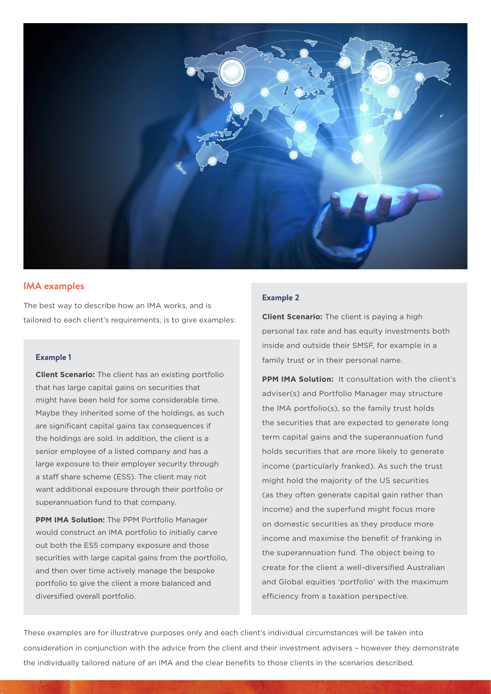

#### **IMA examples**

The best way to describe how an IMA works, and is tailored to each client's requirements, is to give examples:

#### **Example 1**

**Client Scenario:** The client has an existing portfolio that has large capital gains on securities that might have been held for some considerable time. Maybe they inherited some of the holdings, as such are significant capital gains tax consequences if the holdings are sold. In addition, the client is a senior employee of a listed company and has a large exposure to their employer security through a staff share scheme (ESS). The client may not want additional exposure through their portfolio or superannuation fund to that company.

**PPM IMA Solution:** The PPM Portfolio Manager would construct an IMA portfolio to initially carve out both the ESS company exposure and those securities with large capital gains from the portfolio, and then over time actively manage the bespoke portfolio to give the client a more balanced and diversified overall portfolio.

#### **Example 2**

**Client Scenario:** The client is paying a high personal tax rate and has equity investments both inside and outside their SMSF, for example in a family trust or in their personal name.

**PPM IMA Solution:** It consultation with the client's adviser(s) and Portfolio Manager may structure the IMA portfolio(s), so the family trust holds the securities that are expected to generate long term capital gains and the superannuation fund holds securities that are more likely to generate income (particularly franked). As such the trust might hold the majority of the US securities (as they often generate capital gain rather than income) and the superfund might focus more on domestic securities as they produce more income and maximise the benefit of franking in the superannuation fund. The object being to create for the client a well-diversified Australian and Global equities 'portfolio' with the maximum efficiency from a taxation perspective.

These examples are for illustrative purposes only and each client's individual circumstances will be taken into consideration in conjunction with the advice from the client and their investment advisers – however they demonstrate the individually tailored nature of an IMA and the clear benefits to those clients in the scenarios described.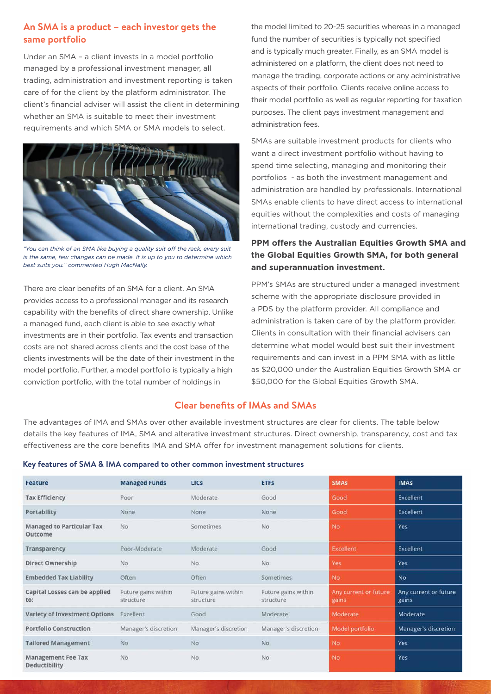# **An SMA is a product – each investor gets the same portfolio**

Under an SMA – a client invests in a model portfolio managed by a professional investment manager, all trading, administration and investment reporting is taken care of for the client by the platform administrator. The client's financial adviser will assist the client in determining whether an SMA is suitable to meet their investment requirements and which SMA or SMA models to select.



*"You can think of an SMA like buying a quality suit off the rack, every suit is the same, few changes can be made. It is up to you to determine which best suits you." commented Hugh MacNally.*

There are clear benefits of an SMA for a client. An SMA provides access to a professional manager and its research capability with the benefits of direct share ownership. Unlike a managed fund, each client is able to see exactly what investments are in their portfolio. Tax events and transaction costs are not shared across clients and the cost base of the clients investments will be the date of their investment in the model portfolio. Further, a model portfolio is typically a high conviction portfolio, with the total number of holdings in

the model limited to 20-25 securities whereas in a managed fund the number of securities is typically not specified and is typically much greater. Finally, as an SMA model is administered on a platform, the client does not need to manage the trading, corporate actions or any administrative aspects of their portfolio. Clients receive online access to their model portfolio as well as regular reporting for taxation purposes. The client pays investment management and administration fees.

SMAs are suitable investment products for clients who want a direct investment portfolio without having to spend time selecting, managing and monitoring their portfolios - as both the investment management and administration are handled by professionals. International SMAs enable clients to have direct access to international equities without the complexities and costs of managing international trading, custody and currencies.

### **PPM offers the Australian Equities Growth SMA and the Global Equities Growth SMA, for both general and superannuation investment.**

PPM's SMAs are structured under a managed investment scheme with the appropriate disclosure provided in a PDS by the platform provider. All compliance and administration is taken care of by the platform provider. Clients in consultation with their financial advisers can determine what model would best suit their investment requirements and can invest in a PPM SMA with as little as \$20,000 under the Australian Equities Growth SMA or \$50,000 for the Global Equities Growth SMA.

#### **Clear benefits of IMAs and SMAs**

The advantages of IMA and SMAs over other available investment structures are clear for clients. The table below details the key features of IMA, SMA and alterative investment structures. Direct ownership, transparency, cost and tax effectiveness are the core benefits IMA and SMA offer for investment management solutions for clients.

|  |  |  |  |  |  | Key features of SMA & IMA compared to other common investment structures |
|--|--|--|--|--|--|--------------------------------------------------------------------------|
|--|--|--|--|--|--|--------------------------------------------------------------------------|

| Feature                                    | <b>Managed Funds</b>             | <b>LICS</b>                      | <b>ETFS</b>                      | <b>SMAs</b>                    | <b>IMAS</b>                    |
|--------------------------------------------|----------------------------------|----------------------------------|----------------------------------|--------------------------------|--------------------------------|
| <b>Tax Efficiency</b>                      | Poor                             | Moderate                         | Good                             | Good                           | Excellent                      |
| Portability                                | None                             | None                             | None                             | Good                           | Excellent                      |
| Managed to Particular Tax<br>Outcome       | No.                              | Sometimes                        | No                               | <b>No</b>                      | Yes                            |
| Transparency                               | Poor-Moderate                    | Moderate                         | Good                             | Excellent                      | Excellent                      |
| Direct Ownership                           | No                               | No.                              | <b>No</b>                        | Yes                            | Yes                            |
| <b>Embedded Tax Liability</b>              | Often                            | Often                            | <b>Sometimes</b>                 | No                             | <b>No</b>                      |
| Capital Losses can be applied<br>to:       | Future gains within<br>structure | Future gains within<br>structure | Future gains within<br>structure | Any current or future<br>gains | Any current or future<br>gains |
| Variety of Investment Options              | Excellent                        | Good                             | Moderate                         | Moderate                       | Moderate                       |
| <b>Portfolio Construction</b>              | Manager's discretion             | Manager's discretion             | Manager's discretion             | Model portfolio                | Manager's discretion           |
| <b>Tailored Management</b>                 | No                               | No.                              | <b>No</b>                        | <b>No</b>                      | Yes                            |
| <b>Management Fee Tax</b><br>Deductibility | No                               | <b>No</b>                        | No                               | No                             | Yes                            |